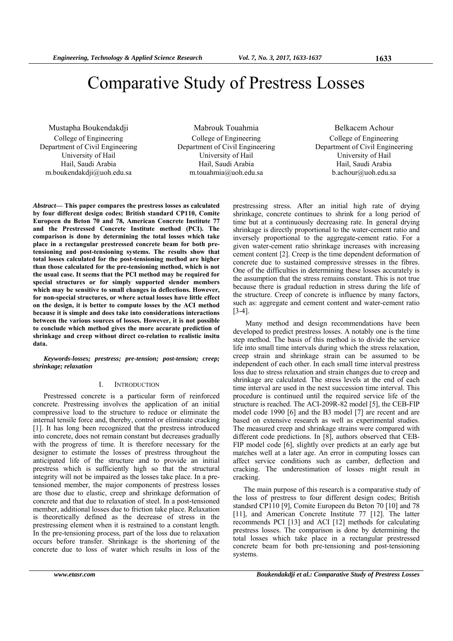# Comparative Study of Prestress Losses

Mustapha Boukendakdji College of Engineering Department of Civil Engineering University of Hail Hail, Saudi Arabia m.boukendakdji@uoh.edu.sa

Mabrouk Touahmia College of Engineering Department of Civil Engineering University of Hail Hail, Saudi Arabia m.touahmia@uoh.edu.sa

Belkacem Achour College of Engineering Department of Civil Engineering University of Hail Hail, Saudi Arabia b.achour@uoh.edu.sa

*Abstract***— This paper compares the prestress losses as calculated by four different design codes; British standard CP110, Comite Europeen du Beton 70 and 78, American Concrete Institute 77 and the Prestressed Concrete Institute method (PCI). The comparison is done by determining the total losses which take place in a rectangular prestressed concrete beam for both pretensioning and post-tensioning systems. The results show that total losses calculated for the post-tensioning method are higher than those calculated for the pre-tensioning method, which is not the usual case. It seems that the PCI method may be required for special structures or for simply supported slender members which may be sensitive to small changes in deflections. However, for non-special structures, or where actual losses have little effect on the design, it is better to compute losses by the ACI method because it is simple and does take into considerations interactions between the various sources of losses. However, it is not possible to conclude which method gives the more accurate prediction of shrinkage and creep without direct co-relation to realistic insitu data.** 

*Keywords-losses; prestress; pre-tension; post-tension; creep; shrinkage; relaxation* 

#### I. INTRODUCTION

Prestressed concrete is a particular form of reinforced concrete. Prestressing involves the application of an initial compressive load to the structure to reduce or eliminate the internal tensile force and, thereby, control or eliminate cracking [1]. It has long been recognized that the prestress introduced into concrete, does not remain constant but decreases gradually with the progress of time. It is therefore necessary for the designer to estimate the losses of prestress throughout the anticipated life of the structure and to provide an initial prestress which is sufficiently high so that the structural integrity will not be impaired as the losses take place. In a pretensioned member, the major components of prestress losses are those due to elastic, creep and shrinkage deformation of concrete and that due to relaxation of steel. In a post-tensioned member, additional losses due to friction take place. Relaxation is theoretically defined as the decrease of stress in the prestressing element when it is restrained to a constant length. In the pre-tensioning process, part of the loss due to relaxation occurs before transfer. Shrinkage is the shortening of the concrete due to loss of water which results in loss of the

prestressing stress. After an initial high rate of drying shrinkage, concrete continues to shrink for a long period of time but at a continuously decreasing rate. In general drying shrinkage is directly proportional to the water-cement ratio and inversely proportional to the aggregate-cement ratio. For a given water-cement ratio shrinkage increases with increasing cement content [2]. Creep is the time dependent deformation of concrete due to sustained compressive stresses in the fibres. One of the difficulties in determining these losses accurately is the assumption that the stress remains constant. This is not true because there is gradual reduction in stress during the life of the structure. Creep of concrete is influence by many factors, such as: aggregate and cement content and water-cement ratio [3-4].

 Many method and design recommendations have been developed to predict prestress losses. A notably one is the time step method. The basis of this method is to divide the service life into small time intervals during which the stress relaxation, creep strain and shrinkage strain can be assumed to be independent of each other. In each small time interval prestress loss due to stress relaxation and strain changes due to creep and shrinkage are calculated. The stress levels at the end of each time interval are used in the next succession time interval. This procedure is continued until the required service life of the structure is reached. The ACI-209R-82 model [5], the CEB-FIP model code 1990 [6] and the B3 model [7] are recent and are based on extensive research as well as experimental studies. The measured creep and shrinkage strains were compared with different code predictions. In [8], authors observed that CEB-FIP model code [6], slightly over predicts at an early age but matches well at a later age. An error in computing losses can affect service conditions such as camber, deflection and cracking. The underestimation of losses might result in cracking.

The main purpose of this research is a comparative study of the loss of prestress to four different design codes; British standsrd CP110 [9], Comite Europeen du Beton 70 [10] and 78 [11], and American Concrete Institute 77 [12]. The latter recommends PCI [13] and ACI [12] methods for calculating prestress losses. The comparison is done by determining the total losses which take place in a rectangular prestressed concrete beam for both pre-tensioning and post-tensioning systems.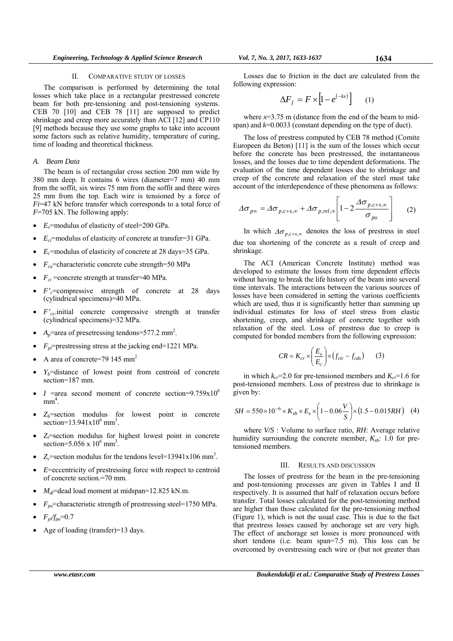### II. COMPARATIVE STUDY OF LOSSES

The comparison is performed by determining the total losses which take place in a rectangular prestressed concrete beam for both pre-tensioning and post-tensioning systems. CEB 70 [10] and CEB 78 [11] are supposed to predict shrinkage and creep more accurately than ACI [12] and CP110 [9] methods because they use some graphs to take into account some factors such as relative humidity, temperature of curing, time of loading and theoretical thickness.

# *A. Beam Data*

The beam is of rectangular cross section 200 mm wide by 380 mm deep. It contains 6 wires (diameter=7 mm) 40 mm from the soffit, six wires 75 mm from the soffit and three wires 25 mm from the top. Each wire is tensioned by a force of *Fi*=47 kN before transfer which corresponds to a total force of *F*=705 kN. The following apply:

- *Es*=modulus of elasticity of steel=200 GPa.
- *Eci*=modulus of elasticity of concrete at transfer=31 GPa.
- *Ec*=modulus of elasticity of concrete at 28 days=35 GPa.
- $F_{cu}$ =characteristic concrete cube strength=50 MPa
- $F_{ci}$  =concrete strength at transfer=40 MPa.
- *F*'<sub>c</sub>=compressive strength of concrete at 28 days (cylindrical specimens)=40 MPa.
- *F'c*i=initial concrete compressive strength at transfer (cylindrical specimens)=32 MPa.
- $A_p$ =area of presetressing tendons=577.2 mm<sup>2</sup>.
- $F_{pi}$ =prestressing stress at the jacking end=1221 MPa.
- A area of concrete=79 145  $mm<sup>2</sup>$
- $Y_b$ =distance of lowest point from centroid of concrete section=187 mm.
- *I* =area second moment of concrete section= $9.759 \times 10^8$  $mm<sup>4</sup>$ .
- $\bullet$   $Z_b$ =section modulus for lowest point in concrete section= $13.941x10^6$  mm<sup>3</sup>.
- *Zt*=section modulus for highest lowest point in concrete section=5.056 x  $10^6$  mm<sup>3</sup>.
- $Z_c$ =section modulus for the tendons level=13941x106 mm<sup>3</sup>.
- *E*=eccentricity of prestressing force with respect to centroid of concrete section.=70 mm.
- $M_d$ =dead load moment at midspan=12.825 kN.m.
- $F_{\mu\nu}$ =characteristic strength of prestressing steel=1750 MPa.
- $F_{pi}/f_{pu} = 0.7$
- Age of loading (transfer)=13 days.

Losses due to friction in the duct are calculated from the following expression:

$$
\Delta F_f = F \times \left[1 - e^{(-kx)}\right] \qquad (1)
$$

where  $x=3.75$  m (distance from the end of the beam to midspan) and *k*=0.0033 (constant depending on the type of duct).

The loss of prestress computed by CEB 78 method (Comite Europeen du Beton) [11] is the sum of the losses which occur before the concrete has been prestressed, the instantaneous losses, and the losses due to time dependent deformations. The evaluation of the time dependent losses due to shrinkage and creep of the concrete and relaxation of the steel must take account of the interdependence of these phenomena as follows:

$$
\Delta \sigma_{p\infty} = \Delta \sigma_{p,c+s,\infty} + \Delta \sigma_{p,rel,\infty} \left[ 1 - 2 \frac{\Delta \sigma_{p,c+s,\infty}}{\sigma_{p\sigma}} \right] \qquad (2)
$$

In which  $\Delta\sigma_{p,c+s,\infty}$  denotes the loss of prestress in steel due toa shortening of the concrete as a result of creep and shrinkage.

The ACI (American Concrete Institute) method was developed to estimate the losses from time dependent effects without having to break the life history of the beam into several time intervals. The interactions between the various sources of losses have been considered in setting the various coefficients which are used, thus it is significantly better than summing up individual estimates for loss of steel stress from elastic shortening, creep, and shrinkage of concrete together with relaxation of the steel. Loss of prestress due to creep is computed for bonded members from the following expression:

$$
CR = K_{cr} \times \left(\frac{E_s}{E_c}\right) \times (f_{cir} - f_{cds})
$$
 (3)

in which  $k_{cr}$ =2.0 for pre-tensioned members and  $K_{cr}$ =1.6 for post-tensioned members. Loss of prestress due to shrinkage is given by:

$$
SH = 550 \times 10^{-6} \times K_{sh} \times E_s \times \left(1 - 0.06 \frac{V}{S}\right) \times \left(1.5 - 0.015 RH\right) \tag{4}
$$

where *V/S* : Volume to surface ratio, *RH*: Average relative humidity surrounding the concrete member,  $K_{sh}$ : 1.0 for pretensioned members.

## III. RESULTS AND DISCUSSION

The losses of prestress for the beam in the pre-tensioning and post-tensioning processes are given in Tables I and II respectively. It is assumed that half of relaxation occurs before transfer. Total losses calculated for the post-tensioning method are higher than those calculated for the pre-tensioning method (Figure 1), which is not the usual case. This is due to the fact that prestress losses caused by anchorage set are very high. The effect of anchorage set losses is more pronounced with short tendons (i.e. beam span=7.5 m). This loss can be overcomed by overstressing each wire or (but not greater than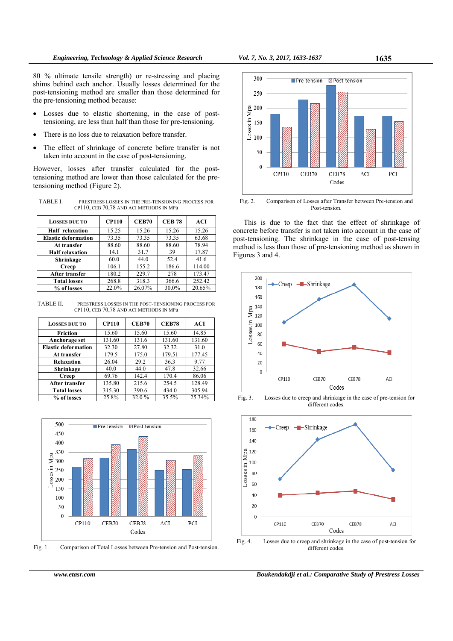80 % ultimate tensile strength) or re-stressing and placing shims behind each anchor. Usually losses determined for the post-tensioning method are smaller than those determined for the pre-tensioning method because:

- Losses due to elastic shortening, in the case of posttensioning, are less than half than those for pre-tensioning.
- There is no loss due to relaxation before transfer.
- The effect of shrinkage of concrete before transfer is not taken into account in the case of post-tensioning.

However, losses after transfer calculated for the posttensioning method are lower than those calculated for the pretensioning method (Figure 2).

TABLE I. PRESTRESS LOSSES IN THE PRE-TENSIONING PROCESS FOR CP110, CEB 70,78 AND ACI METHODS IN MPa

| <b>LOSSES DUE TO</b>       | <b>CP110</b> | <b>CEB70</b> | <b>CEB 78</b> | ACI    |
|----------------------------|--------------|--------------|---------------|--------|
| <b>Half</b> relaxation     | 15.25        | 15.26        | 15.26         | 15.26  |
| <b>Elastic deformation</b> | 73.35        | 73.35        | 73.35         | 63.68  |
| At transfer                | 88.60        | 88.60        | 88.60         | 78.94  |
| <b>Half relaxation</b>     | 14.1         | 31.7         | 39            | 17.87  |
| Shrinkage                  | 60.0         | 44.0         | 52.4          | 41.6   |
| Creep                      | 106.1        | 155.2        | 186.6         | 114.00 |
| After transfer             | 180.2        | 229.7        | 278           | 173.47 |
| <b>Total losses</b>        | 268.8        | 318.3        | 366.6         | 252.42 |
| % of losses                | 22.0%        | 26.07%       | 30.0%         | 20.65% |

TABLE II. PRESTRESS LOSSES IN THE POST-TENSIONING PROCESS FOR CP110, CEB 70,78 AND ACI METHODS IN MPa

| <b>LOSSES DUE TO</b>       | <b>CP110</b> | <b>CEB70</b> | <b>CEB78</b> | <b>ACI</b> |
|----------------------------|--------------|--------------|--------------|------------|
| Friction                   | 15.60        | 15.60        | 15.60        | 14.85      |
| Anchorage set              | 131.60       | 131.6        | 131.60       | 131.60     |
| <b>Elastic deformation</b> | 32.30        | 27.80        | 32.32        | 31.0       |
| At transfer                | 179.5        | 175.0        | 179.51       | 177.45     |
| Relaxation                 | 26.04        | 29.2         | 36.3         | 9.77       |
| Shrinkage                  | 40.0         | 44.0         | 47.8         | 32.66      |
| Creep                      | 69.76        | 142.4        | 170.4        | 86.06      |
| <b>After transfer</b>      | 135.80       | 215.6        | 254.5        | 128.49     |
| <b>Total losses</b>        | 315.30       | 390.6        | 434.0        | 305.94     |
| % of losses                | 25.8%        | 32.0 %       | 35.5%        | 25.34%     |



Fig. 1. Comparison of Total Losses between Pre-tension and Post-tension.



Post-tension.

This is due to the fact that the effect of shrinkage of concrete before transfer is not taken into account in the case of post-tensioning. The shrinkage in the case of post-tensing method is less than those of pre-tensioning method as shown in Figures 3 and 4.



Fig. 3. Losses due to creep and shrinkage in the case of pre-tension for different codes



Fig. 4. Losses due to creep and shrinkage in the case of post-tension for different codes.

*www.etasr.com Boukendakdji et al.: Comparative Study of Prestress Losses*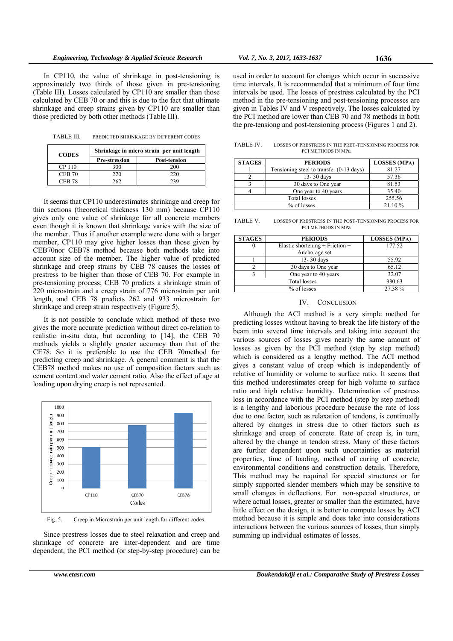In CP110, the value of shrinkage in post-tensioning is approximately two thirds of those given in pre-tensioning (Table III). Losses calculated by CP110 are smaller than those calculated by CEB 70 or and this is due to the fact that ultimate shrinkage and creep strains given by CP110 are smaller than those predicted by both other methods (Table III).

TABLE III. PREDICTED SHRINKAGE BY DIFFERENT CODES

| <b>CODES</b>  | Shrinkage in micro strain per unit length |                     |  |  |
|---------------|-------------------------------------------|---------------------|--|--|
|               | <b>Pre-stression</b>                      | <b>Post-tension</b> |  |  |
| CP 110        | 300                                       | 200                 |  |  |
| <b>CEB 70</b> | 220                                       | 220                 |  |  |
| CER 78        |                                           |                     |  |  |

It seems that CP110 underestimates shrinkage and creep for thin sections (theoretical thickness 130 mm) because CP110 gives only one value of shrinkage for all concrete members even though it is known that shrinkage varies with the size of the member. Thus if another example were done with a larger member, CP110 may give higher losses than those given by CEB70nor CEB78 method because both methods take into account size of the member. The higher value of predicted shrinkage and creep strains by CEB 78 causes the losses of prestress to be higher than those of CEB 70. For example in pre-tensioning process; CEB 70 predicts a shrinkage strain of 220 microstrain and a creep strain of 776 microstrain per unit length, and CEB 78 predicts 262 and 933 microstrain for shrinkage and creep strain respectively (Figure 5).

It is not possible to conclude which method of these two gives the more accurate prediction without direct co-relation to realistic in-situ data, but according to [14], the CEB 70 methods yields a slightly greater accuracy than that of the CE78. So it is preferable to use the CEB 70method for predicting creep and shrinkage. A general comment is that the CEB78 method makes no use of composition factors such as cement content and water cement ratio. Also the effect of age at loading upon drying creep is not represented.



Fig. 5. Creep in Microstrain per unit length for different codes.

Since prestress losses due to steel relaxation and creep and shrinkage of concrete are inter-dependent and are time dependent, the PCI method (or step-by-step procedure) can be

used in order to account for changes which occur in successive time intervals. It is recommended that a minimum of four time intervals be used. The losses of prestress calculated by the PCI method in the pre-tensioning and post-tensioning processes are given in Tables IV and V respectively. The losses calculated by the PCI method are lower than CEB 70 and 78 methods in both the pre-tensiong and post-tensioning process (Figures 1 and 2).

TABLE IV. LOSSES OF PRESTRESS IN THE PRET-TENSIONING PROCESS FOR PCI METHODS IN MPa

| <b>STAGES</b> | <b>PERIODS</b>                           | <b>LOSSES</b> (MPA) |
|---------------|------------------------------------------|---------------------|
|               | Tensioning steel to transfer (0-13 days) | 81.27               |
|               | 13-30 days                               | 57.36               |
|               | 30 days to One year                      | 81.53               |
|               | One year to 40 years                     | 35.40               |
| Total losses  |                                          | 255.56              |
|               | % of losses                              | 21.10%              |

TABLE V. LOSSES OF PRESTRESS IN THE POST-TENSIONING PROCESS FOR PCI METHODS IN MPa

| <b>STAGES</b> | <b>PERIODS</b>                      | <b>LOSSES</b> (MPA) |
|---------------|-------------------------------------|---------------------|
|               | Elastic shortening $+$ Friction $+$ | 177.52              |
|               | Anchorage set                       |                     |
|               | 13-30 days                          | 55.92               |
|               | 30 days to One year                 | 65.12               |
|               | One year to 40 years                | 32.07               |
|               | <b>Total losses</b>                 | 330.63              |
|               | % of losses                         | 27.38 %             |

## IV. CONCLUSION

Although the ACI method is a very simple method for predicting losses without having to break the life history of the beam into several time intervals and taking into account the various sources of losses gives nearly the same amount of losses as given by the PCI method (step by step method) which is considered as a lengthy method. The ACI method gives a constant value of creep which is independently of relative of humidity or volume to surface ratio. It seems that this method underestimates creep for high volume to surface ratio and high relative humidity. Determination of prestress loss in accordance with the PCI method (step by step method) is a lengthy and laborious procedure because the rate of loss due to one factor, such as relaxation of tendons, is continually altered by changes in stress due to other factors such as shrinkage and creep of concrete. Rate of creep is, in turn, altered by the change in tendon stress. Many of these factors are further dependent upon such uncertainties as material properties, time of loading, method of curing of concrete, environmental conditions and construction details. Therefore, This method may be required for special structures or for simply supported slender members which may be sensitive to small changes in deflections. For non-special structures, or where actual losses, greater or smaller than the estimated, have little effect on the design, it is better to compute losses by ACI method because it is simple and does take into considerations interactions between the various sources of losses, than simply summing up individual estimates of losses.